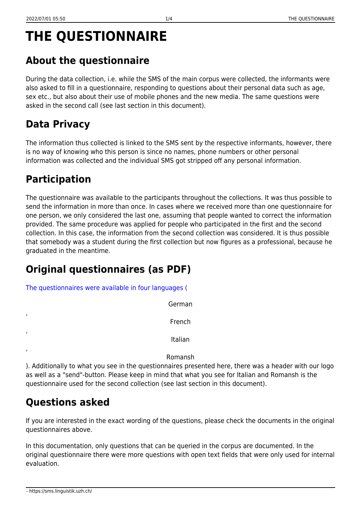# **THE QUESTIONNAIRE**

## **About the questionnaire**

During the data collection, i.e. while the SMS of the main corpus were collected, the informants were also asked to fill in a questionnaire, responding to questions about their personal data such as age, sex etc., but also about their use of mobile phones and the new media. The same questions were asked in the second call (see last section in this document).

#### **Data Privacy**

The information thus collected is linked to the SMS sent by the respective informants, however, there is no way of knowing who this person is since no names, phone numbers or other personal information was collected and the individual SMS got stripped off any personal information.

### **Participation**

The questionnaire was available to the participants throughout the collections. It was thus possible to send the information in more than once. In cases where we received more than one questionnaire for one person, we only considered the last one, assuming that people wanted to correct the information provided. The same procedure was applied for people who participated in the first and the second collection. In this case, the information from the second collection was considered. It is thus possible that somebody was a student during the first collection but now figures as a professional, because he graduated in the meantime.

### **Original questionnaires (as PDF)**

[The questionnaires were available in four languages \(](https://sms.linguistik.uzh.ch/_media/02_questionnaire/questionnairegerman.pdf)

|   |  | German  |
|---|--|---------|
| , |  | French  |
| , |  | Italian |
| , |  |         |

Romansh

). Additionally to what you see in the questionnaires presented here, there was a header with our logo as well as a "send"-button. Please keep in mind that what you see for Italian and Romansh is the questionnaire used for the second collection (see last section in this document).

### **Questions asked**

If you are interested in the exact wording of the questions, please check the documents in the original questionnaires above.

In this documentation, only questions that can be queried in the corpus are documented. In the original questionnaire there were more questions with open text fields that were only used for internal evaluation.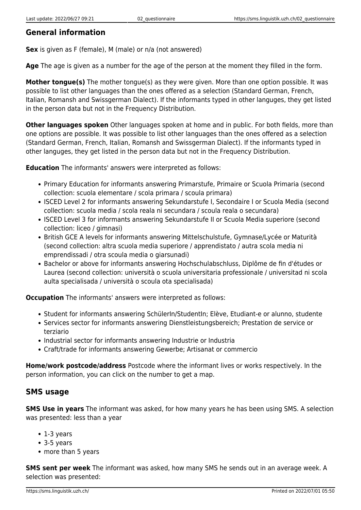#### **General information**

**Sex** is given as F (female), M (male) or n/a (not answered)

**Age** The age is given as a number for the age of the person at the moment they filled in the form.

**Mother tongue(s)** The mother tongue(s) as they were given. More than one option possible. It was possible to list other languages than the ones offered as a selection (Standard German, French, Italian, Romansh and Swissgerman Dialect). If the informants typed in other languges, they get listed in the person data but not in the Frequency Distribution.

**Other languages spoken** Other languages spoken at home and in public. For both fields, more than one options are possible. It was possible to list other languages than the ones offered as a selection (Standard German, French, Italian, Romansh and Swissgerman Dialect). If the informants typed in other languges, they get listed in the person data but not in the Frequency Distribution.

**Education** The informants' answers were interpreted as follows:

- Primary Education for informants answering Primarstufe, Primaire or Scuola Primaria (second collection: scuola elementare / scola primara / scoula primara)
- ISCED Level 2 for informants answering Sekundarstufe I, Secondaire I or Scuola Media (second collection: scuola media / scola reala ni secundara / scoula reala o secundara)
- ISCED Level 3 for informants answering Sekundarstufe II or Scuola Media superiore (second collection: liceo / gimnasi)
- British GCE A levels for informants answering Mittelschulstufe, Gymnase/Lycée or Maturità (second collection: altra scuola media superiore / apprendistato / autra scola media ni emprendissadi / otra scoula media o giarsunadi)
- Bachelor or above for informants answering Hochschulabschluss, Diplôme de fin d'études or Laurea (second collection: università o scuola universitaria professionale / universitad ni scola aulta specialisada / università o scoula ota specialisada)

**Occupation** The informants' answers were interpreted as follows:

- Student for informants answering SchülerIn/StudentIn; Elève, Etudiant-e or alunno, studente
- Services sector for informants answering Dienstleistungsbereich; Prestation de service or terziario
- Industrial sector for informants answering Industrie or Industria
- Craft/trade for informants answering Gewerbe; Artisanat or commercio

**Home/work postcode/address** Postcode where the informant lives or works respectively. In the person information, you can click on the number to get a map.

#### **SMS usage**

**SMS Use in years** The informant was asked, for how many years he has been using SMS. A selection was presented: less than a year

- 1-3 years
- 3-5 years
- more than 5 years

**SMS sent per week** The informant was asked, how many SMS he sends out in an average week. A selection was presented: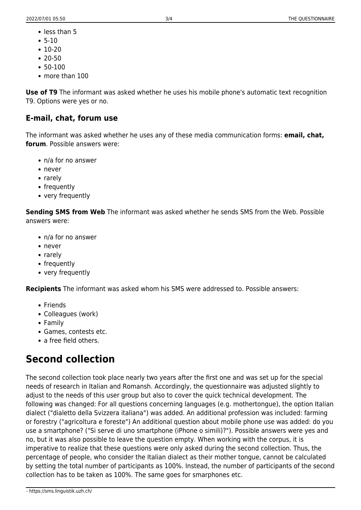- less than 5
- $5-10$
- $10-20$
- $20-50$
- 50-100
- more than 100

**Use of T9** The informant was asked whether he uses his mobile phone's automatic text recognition T9. Options were yes or no.

#### **E-mail, chat, forum use**

The informant was asked whether he uses any of these media communication forms: **email, chat, forum**. Possible answers were:

- n/a for no answer
- never
- rarely
- frequently
- very frequently

**Sending SMS from Web** The informant was asked whether he sends SMS from the Web. Possible answers were:

- n/a for no answer
- never
- rarely
- frequently
- very frequently

**Recipients** The informant was asked whom his SMS were addressed to. Possible answers:

- Friends
- Colleagues (work)
- Family
- Games, contests etc.
- a free field others

#### **Second collection**

The second collection took place nearly two years after the first one and was set up for the special needs of research in Italian and Romansh. Accordingly, the questionnaire was adjusted slightly to adjust to the needs of this user group but also to cover the quick technical development. The following was changed: For all questions concerning languages (e.g. mothertongue), the option Italian dialect ("dialetto della Svizzera italiana") was added. An additional profession was included: farming or forestry ("agricoltura e foreste") An additional question about mobile phone use was added: do you use a smartphone? ("Si serve di uno smartphone (iPhone o simili)?"). Possible answers were yes and no, but it was also possible to leave the question empty. When working with the corpus, it is imperative to realize that these questions were only asked during the second collection. Thus, the percentage of people, who consider the Italian dialect as their mother tongue, cannot be calculated by setting the total number of participants as 100%. Instead, the number of participants of the second collection has to be taken as 100%. The same goes for smarphones etc.